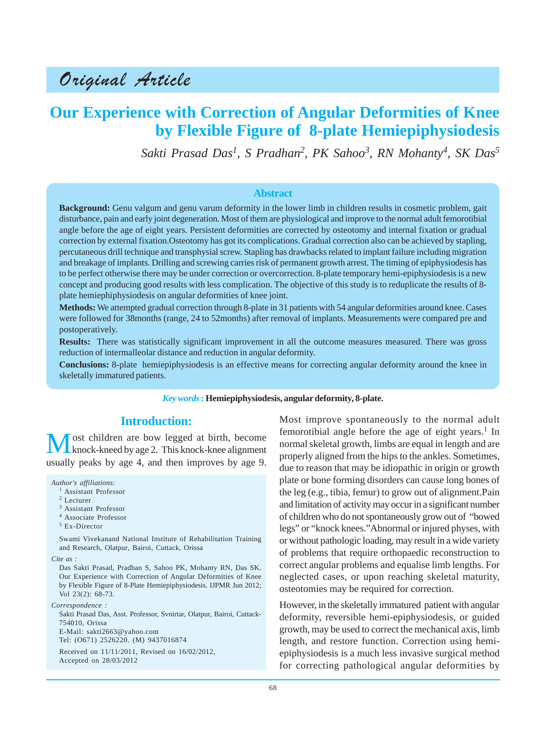# Original Article

## **Our Experience with Correction of Angular Deformities of Knee by Flexible Figure of 8-plate Hemiepiphysiodesis**

*Sakti Prasad Das1, S Pradhan2 , PK Sahoo<sup>3</sup> , RN Mohanty<sup>4</sup> , SK Das<sup>5</sup>*

#### **Abstract**

**Background:** Genu valgum and genu varum deformity in the lower limb in children results in cosmetic problem, gait disturbance, pain and early joint degeneration. Most of them are physiological and improve to the normal adult femorotibial angle before the age of eight years. Persistent deformities are corrected by osteotomy and internal fixation or gradual correction by external fixation.Osteotomy has got its complications. Gradual correction also can be achieved by stapling, percutaneous drill technique and transphysial screw. Stapling has drawbacks related to implant failure including migration and breakage of implants. Drilling and screwing carries risk of permanent growth arrest. The timing of epiphysiodesis has to be perfect otherwise there may be under correction or overcorrection. 8-plate temporary hemi-epiphysiodesis is a new concept and producing good results with less complication. The objective of this study is to reduplicate the results of 8 plate hemiephiphysiodesis on angular deformities of knee joint.

**Methods:** We attempted gradual correction through 8-plate in 31 patients with 54 angular deformities around knee. Cases were followed for 38months (range, 24 to 52months) after removal of implants. Measurements were compared pre and postoperatively.

**Results:** There was statistically significant improvement in all the outcome measures measured. There was gross reduction of intermalleolar distance and reduction in angular deformity.

**Conclusions:** 8-plate hemiepiphysiodesis is an effective means for correcting angular deformity around the knee in skeletally immatured patients.

#### *Key words* **: Hemiepiphysiodesis, angular deformity, 8-plate.**

#### **Introduction:**

Most children are bow legged at birth, become<br>
knock-kneed by age 2. This knock-knee alignment usually peaks by age 4, and then improves by age 9.

*Author's affiliations:*

- <sup>1</sup> Assistant Professor
- <sup>2</sup> Lecturer
- <sup>3</sup> Assistant Professor
- <sup>4</sup> Associate Professor
- <sup>5</sup> Ex-Director

Swami Vivekanand National Institute of Rehabilitation Training and Research, Olatpur, Bairoi, Cuttack, Orissa

*Cite as :*

Das Sakti Prasad, Pradhan S, Sahoo PK, Mohanty RN, Das SK. Our Experience with Correction of Angular Deformities of Knee by Flexible Figure of 8-Plate Hemiepiphysiodesis. IJPMR Jun 2012; Vol 23(2): 68-73.

*Correspondence :* Sakti Prasad Das, Asst. Professor, Svnirtar, Olatpur, Bairoi, Cuttack-754010, Orissa E-Mail: sakti2663@yahoo.com Tel: (O671) 2526220. (M) 9437016874

Received on 11/11/2011, Revised on 16/02/2012, Accepted on 28/03/2012

Most improve spontaneously to the normal adult femorotibial angle before the age of eight years.<sup>1</sup> In normal skeletal growth, limbs are equal in length and are properly aligned from the hips to the ankles. Sometimes, due to reason that may be idiopathic in origin or growth plate or bone forming disorders can cause long bones of the leg (e.g., tibia, femur) to grow out of alignment.Pain and limitation of activity may occur in a significant number of children who do not spontaneously grow out of "bowed legs" or "knock knees."Abnormal or injured physes, with or without pathologic loading, may result in a wide variety of problems that require orthopaedic reconstruction to correct angular problems and equalise limb lengths. For neglected cases, or upon reaching skeletal maturity, osteotomies may be required for correction.

However, in the skeletally immatured patient with angular deformity, reversible hemi-epiphysiodesis, or guided growth, may be used to correct the mechanical axis, limb length, and restore function. Correction using hemiepiphysiodesis is a much less invasive surgical method for correcting pathological angular deformities by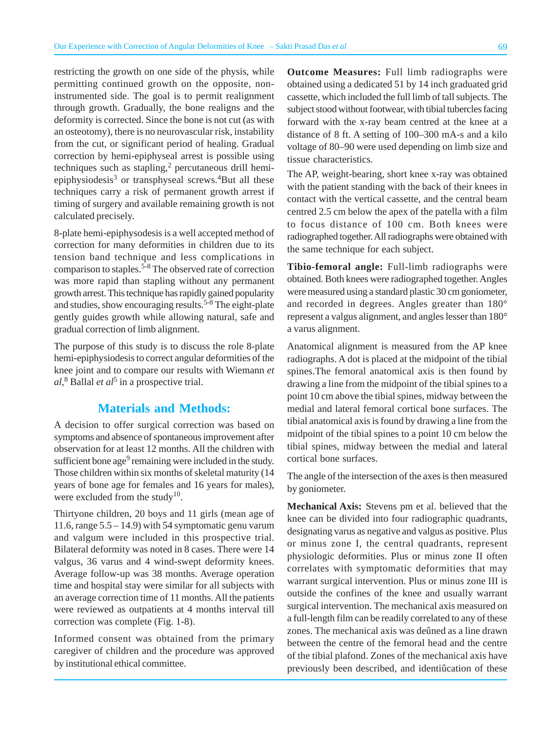restricting the growth on one side of the physis, while permitting continued growth on the opposite, noninstrumented side. The goal is to permit realignment through growth. Gradually, the bone realigns and the deformity is corrected. Since the bone is not cut (as with an osteotomy), there is no neurovascular risk, instability from the cut, or significant period of healing. Gradual correction by hemi-epiphyseal arrest is possible using techniques such as stapling, $<sup>2</sup>$  percutaneous drill hemi-</sup> epiphysiodesis<sup>3</sup> or transphyseal screws.<sup>4</sup>But all these techniques carry a risk of permanent growth arrest if timing of surgery and available remaining growth is not calculated precisely.

8-plate hemi-epiphysodesis is a well accepted method of correction for many deformities in children due to its tension band technique and less complications in comparison to staples.  $5-8$  The observed rate of correction was more rapid than stapling without any permanent growth arrest. This technique has rapidly gained popularity and studies, show encouraging results.<sup>5-8</sup> The eight-plate gently guides growth while allowing natural, safe and gradual correction of limb alignment.

The purpose of this study is to discuss the role 8-plate hemi-epiphysiodesis to correct angular deformities of the knee joint and to compare our results with Wiemann *et al*, 8 Ballal *et al*5 in a prospective trial.

## **Materials and Methods:**

A decision to offer surgical correction was based on symptoms and absence of spontaneous improvement after observation for at least 12 months. All the children with sufficient bone age<sup>9</sup> remaining were included in the study. Those children within six months of skeletal maturity (14 years of bone age for females and 16 years for males), were excluded from the study<sup>10</sup>.

Thirtyone children, 20 boys and 11 girls (mean age of 11.6, range  $5.5 - 14.9$ ) with 54 symptomatic genu varum and valgum were included in this prospective trial. Bilateral deformity was noted in 8 cases. There were 14 valgus, 36 varus and 4 wind-swept deformity knees. Average follow-up was 38 months. Average operation time and hospital stay were similar for all subjects with an average correction time of 11 months. All the patients were reviewed as outpatients at 4 months interval till correction was complete (Fig. 1-8).

Informed consent was obtained from the primary caregiver of children and the procedure was approved by institutional ethical committee.

**Outcome Measures:** Full limb radiographs were obtained using a dedicated 51 by 14 inch graduated grid cassette, which included the full limb of tall subjects. The subject stood without footwear, with tibial tubercles facing forward with the x-ray beam centred at the knee at a distance of 8 ft. A setting of 100–300 mA-s and a kilo voltage of 80–90 were used depending on limb size and tissue characteristics.

The AP, weight-bearing, short knee x-ray was obtained with the patient standing with the back of their knees in contact with the vertical cassette, and the central beam centred 2.5 cm below the apex of the patella with a film to focus distance of 100 cm. Both knees were radiographed together. All radiographs were obtained with the same technique for each subject.

**Tibio-femoral angle:** Full-limb radiographs were obtained. Both knees were radiographed together. Angles were measured using a standard plastic 30 cm goniometer, and recorded in degrees. Angles greater than 180° represent a valgus alignment, and angles lesser than 180° a varus alignment.

Anatomical alignment is measured from the AP knee radiographs. A dot is placed at the midpoint of the tibial spines.The femoral anatomical axis is then found by drawing a line from the midpoint of the tibial spines to a point 10 cm above the tibial spines, midway between the medial and lateral femoral cortical bone surfaces. The tibial anatomical axis is found by drawing a line from the midpoint of the tibial spines to a point 10 cm below the tibial spines, midway between the medial and lateral cortical bone surfaces.

The angle of the intersection of the axes is then measured by goniometer.

**Mechanical Axis:** Stevens pm et al. believed that the knee can be divided into four radiographic quadrants, designating varus as negative and valgus as positive. Plus or minus zone I, the central quadrants, represent physiologic deformities. Plus or minus zone II often correlates with symptomatic deformities that may warrant surgical intervention. Plus or minus zone III is outside the confines of the knee and usually warrant surgical intervention. The mechanical axis measured on a full-length film can be readily correlated to any of these zones. The mechanical axis was deûned as a line drawn between the centre of the femoral head and the centre of the tibial plafond. Zones of the mechanical axis have previously been described, and identiûcation of these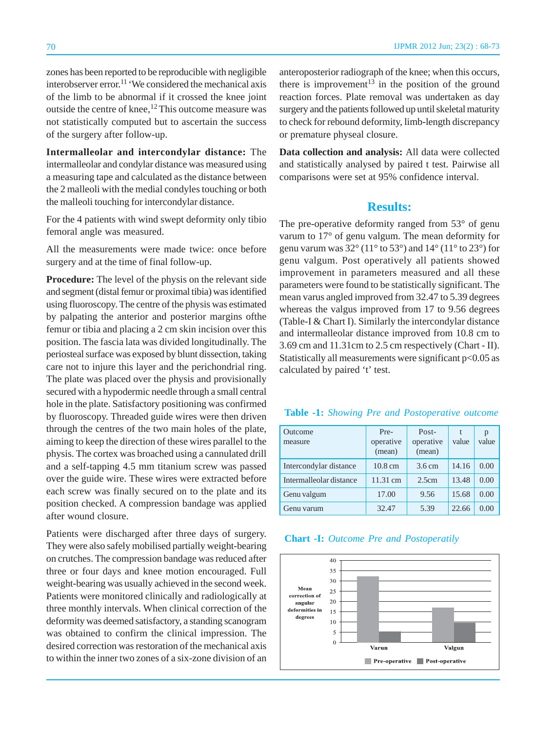zones has been reported to be reproducible with negligible interobserver error.<sup>11</sup> 'We considered the mechanical axis of the limb to be abnormal if it crossed the knee joint outside the centre of knee, <sup>12</sup> This outcome measure was not statistically computed but to ascertain the success of the surgery after follow-up.

**Intermalleolar and intercondylar distance:** The intermalleolar and condylar distance was measured using a measuring tape and calculated as the distance between the 2 malleoli with the medial condyles touching or both the malleoli touching for intercondylar distance.

For the 4 patients with wind swept deformity only tibio femoral angle was measured.

All the measurements were made twice: once before surgery and at the time of final follow-up.

**Procedure:** The level of the physis on the relevant side and segment (distal femur or proximal tibia) was identified using fluoroscopy. The centre of the physis was estimated by palpating the anterior and posterior margins ofthe femur or tibia and placing a 2 cm skin incision over this position. The fascia lata was divided longitudinally. The periosteal surface was exposed by blunt dissection, taking care not to injure this layer and the perichondrial ring. The plate was placed over the physis and provisionally secured with a hypodermic needle through a small central hole in the plate. Satisfactory positioning was confirmed by fluoroscopy. Threaded guide wires were then driven through the centres of the two main holes of the plate, aiming to keep the direction of these wires parallel to the physis. The cortex was broached using a cannulated drill and a self-tapping 4.5 mm titanium screw was passed over the guide wire. These wires were extracted before each screw was finally secured on to the plate and its position checked. A compression bandage was applied after wound closure.

Patients were discharged after three days of surgery. They were also safely mobilised partially weight-bearing on crutches. The compression bandage was reduced after three or four days and knee motion encouraged. Full weight-bearing was usually achieved in the second week. Patients were monitored clinically and radiologically at three monthly intervals. When clinical correction of the deformity was deemed satisfactory, a standing scanogram was obtained to confirm the clinical impression. The desired correction was restoration of the mechanical axis to within the inner two zones of a six-zone division of an anteroposterior radiograph of the knee; when this occurs, there is improvement<sup>13</sup> in the position of the ground reaction forces. Plate removal was undertaken as day surgery and the patients followed up until skeletal maturity to check for rebound deformity, limb-length discrepancy or premature physeal closure.

**Data collection and analysis:** All data were collected and statistically analysed by paired t test. Pairwise all comparisons were set at 95% confidence interval.

#### **Results:**

The pre-operative deformity ranged from 53° of genu varum to 17° of genu valgum. The mean deformity for genu varum was  $32^{\circ}$  (11 $^{\circ}$  to  $53^{\circ}$ ) and  $14^{\circ}$  (11 $^{\circ}$  to  $23^{\circ}$ ) for genu valgum. Post operatively all patients showed improvement in parameters measured and all these parameters were found to be statistically significant. The mean varus angled improved from 32.47 to 5.39 degrees whereas the valgus improved from 17 to 9.56 degrees (Table-I & Chart I). Similarly the intercondylar distance and intermalleolar distance improved from 10.8 cm to 3.69 cm and 11.31cm to 2.5 cm respectively (Chart - II). Statistically all measurements were significant p<0.05 as calculated by paired 't' test.

#### **Table -1:** *Showing Pre and Postoperative outcome*

| Outcome<br>measure      | Pre-<br>operative<br>(mean) | Post-<br>operative<br>(mean) | t<br>value | p<br>value |
|-------------------------|-----------------------------|------------------------------|------------|------------|
| Intercondylar distance  | $10.8 \text{ cm}$           | $3.6 \text{ cm}$             | 14.16      | 0.00       |
| Intermalleolar distance | 11.31 cm                    | 2.5cm                        | 13.48      | 0.00       |
| Genu valgum             | 17.00                       | 9.56                         | 15.68      | 0.00       |
| Genu varum              | 32.47                       | 5.39                         | 22.66      | 0.00       |

| <b>Chart -I:</b> Outcome Pre and Postoperatily |  |  |  |  |  |
|------------------------------------------------|--|--|--|--|--|
|------------------------------------------------|--|--|--|--|--|

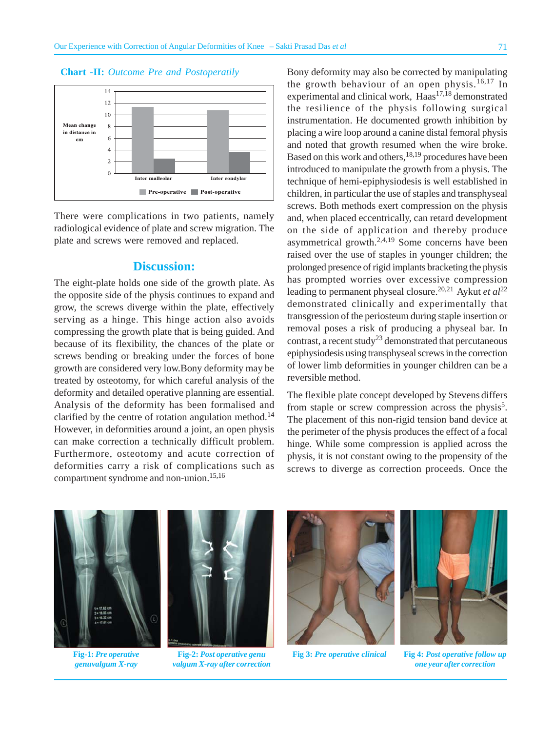

There were complications in two patients, namely radiological evidence of plate and screw migration. The plate and screws were removed and replaced.

#### **Discussion:**

The eight-plate holds one side of the growth plate. As the opposite side of the physis continues to expand and grow, the screws diverge within the plate, effectively serving as a hinge. This hinge action also avoids compressing the growth plate that is being guided. And because of its flexibility, the chances of the plate or screws bending or breaking under the forces of bone growth are considered very low.Bony deformity may be treated by osteotomy, for which careful analysis of the deformity and detailed operative planning are essential. Analysis of the deformity has been formalised and clarified by the centre of rotation angulation method.<sup>14</sup> However, in deformities around a joint, an open physis can make correction a technically difficult problem. Furthermore, osteotomy and acute correction of deformities carry a risk of complications such as compartment syndrome and non-union.15,16

Bony deformity may also be corrected by manipulating the growth behaviour of an open physis.<sup>16,17</sup> In experimental and clinical work,  $Haas<sup>17,18</sup>$  demonstrated the resilience of the physis following surgical instrumentation. He documented growth inhibition by placing a wire loop around a canine distal femoral physis and noted that growth resumed when the wire broke. Based on this work and others,  $18,19$  procedures have been introduced to manipulate the growth from a physis. The technique of hemi-epiphysiodesis is well established in children, in particular the use of staples and transphyseal screws. Both methods exert compression on the physis and, when placed eccentrically, can retard development on the side of application and thereby produce asymmetrical growth. $2,4,19$  Some concerns have been raised over the use of staples in younger children; the prolonged presence of rigid implants bracketing the physis has prompted worries over excessive compression leading to permanent physeal closure.20,21 Aykut *et al*<sup>22</sup> demonstrated clinically and experimentally that transgression of the periosteum during staple insertion or removal poses a risk of producing a physeal bar. In contrast, a recent study<sup>23</sup> demonstrated that percutaneous epiphysiodesis using transphyseal screws in the correction of lower limb deformities in younger children can be a reversible method.

The flexible plate concept developed by Stevens differs from staple or screw compression across the physis<sup>5</sup>. The placement of this non-rigid tension band device at the perimeter of the physis produces the effect of a focal hinge. While some compression is applied across the physis, it is not constant owing to the propensity of the screws to diverge as correction proceeds. Once the

**Fig-1:** *Pre operative genuvalgum X-ray*



**Fig-2:** *Post operative genu valgum X-ray after correction*



**Fig 3:** *Pre operative clinical*

**Fig 4:** *Post operative follow up one year after correction*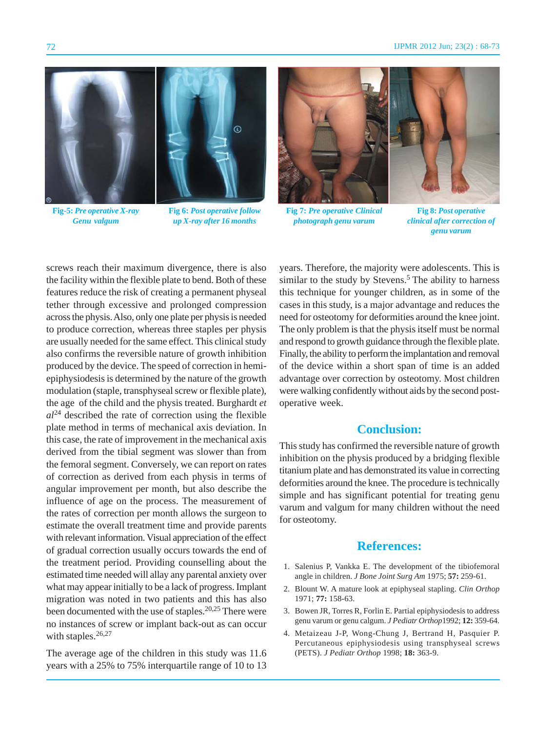

**Fig-5:** *Pre operative X-ray Genu valgum*

**Fig 6:** *Post operative follow up X-ray after 16 months*



**Fig 7:** *Pre operative Clinical photograph genu varum*

**Fig 8:** *Post operative clinical after correction of genu varum*

screws reach their maximum divergence, there is also the facility within the flexible plate to bend. Both of these features reduce the risk of creating a permanent physeal tether through excessive and prolonged compression across the physis. Also, only one plate per physis is needed to produce correction, whereas three staples per physis are usually needed for the same effect. This clinical study also confirms the reversible nature of growth inhibition produced by the device. The speed of correction in hemiepiphysiodesis is determined by the nature of the growth modulation (staple, transphyseal screw or flexible plate), the age of the child and the physis treated. Burghardt *et*  $a^{24}$  described the rate of correction using the flexible plate method in terms of mechanical axis deviation. In this case, the rate of improvement in the mechanical axis derived from the tibial segment was slower than from the femoral segment. Conversely, we can report on rates of correction as derived from each physis in terms of angular improvement per month, but also describe the influence of age on the process. The measurement of the rates of correction per month allows the surgeon to estimate the overall treatment time and provide parents with relevant information. Visual appreciation of the effect of gradual correction usually occurs towards the end of the treatment period. Providing counselling about the estimated time needed will allay any parental anxiety over what may appear initially to be a lack of progress. Implant migration was noted in two patients and this has also been documented with the use of staples.<sup>20,25</sup> There were no instances of screw or implant back-out as can occur with staples. $26,27$ 

The average age of the children in this study was 11.6 years with a 25% to 75% interquartile range of 10 to 13 years. Therefore, the majority were adolescents. This is similar to the study by Stevens.<sup>5</sup> The ability to harness this technique for younger children, as in some of the cases in this study, is a major advantage and reduces the need for osteotomy for deformities around the knee joint. The only problem is that the physis itself must be normal and respond to growth guidance through the flexible plate. Finally, the ability to perform the implantation and removal of the device within a short span of time is an added advantage over correction by osteotomy. Most children were walking confidently without aids by the second postoperative week.

## **Conclusion:**

This study has confirmed the reversible nature of growth inhibition on the physis produced by a bridging flexible titanium plate and has demonstrated its value in correcting deformities around the knee. The procedure is technically simple and has significant potential for treating genu varum and valgum for many children without the need for osteotomy.

#### **References:**

- 1. Salenius P, Vankka E. The development of the tibiofemoral angle in children. *J Bone Joint Surg Am* 1975; **57:** 259-61.
- 2. Blount W. A mature look at epiphyseal stapling. *Clin Orthop* 1971; **77:** 158-63.
- 3. Bowen JR, Torres R, Forlin E. Partial epiphysiodesis to address genu varum or genu calgum. *J Pediatr Orthop*1992; **12:** 359-64.
- 4. Metaizeau J-P, Wong-Chung J, Bertrand H, Pasquier P. Percutaneous epiphysiodesis using transphyseal screws (PETS). *J Pediatr Orthop* 1998; **18:** 363-9.